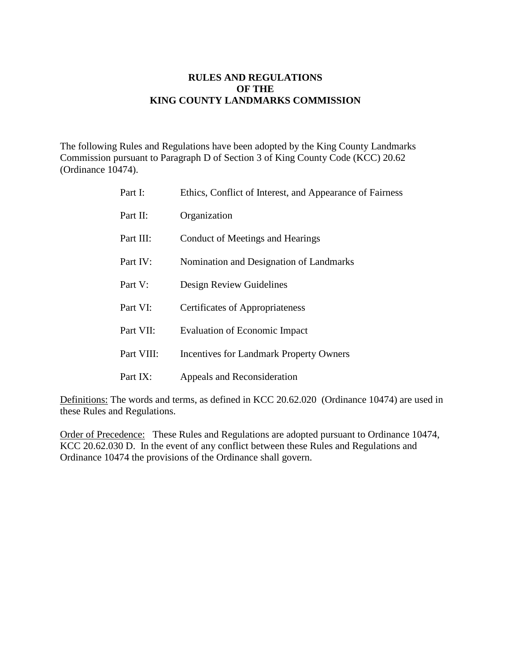### **RULES AND REGULATIONS OF THE KING COUNTY LANDMARKS COMMISSION**

The following Rules and Regulations have been adopted by the King County Landmarks Commission pursuant to Paragraph D of Section 3 of King County Code (KCC) 20.62 (Ordinance 10474).

| Part I:    | Ethics, Conflict of Interest, and Appearance of Fairness |
|------------|----------------------------------------------------------|
| Part II:   | Organization                                             |
| Part III:  | Conduct of Meetings and Hearings                         |
| Part IV:   | Nomination and Designation of Landmarks                  |
| Part V:    | Design Review Guidelines                                 |
| Part VI:   | <b>Certificates of Appropriateness</b>                   |
| Part VII:  | <b>Evaluation of Economic Impact</b>                     |
| Part VIII: | <b>Incentives for Landmark Property Owners</b>           |
| Part IX:   | Appeals and Reconsideration                              |

Definitions: The words and terms, as defined in KCC 20.62.020 (Ordinance 10474) are used in these Rules and Regulations.

Order of Precedence:These Rules and Regulations are adopted pursuant to Ordinance 10474, KCC 20.62.030 D. In the event of any conflict between these Rules and Regulations and Ordinance 10474 the provisions of the Ordinance shall govern.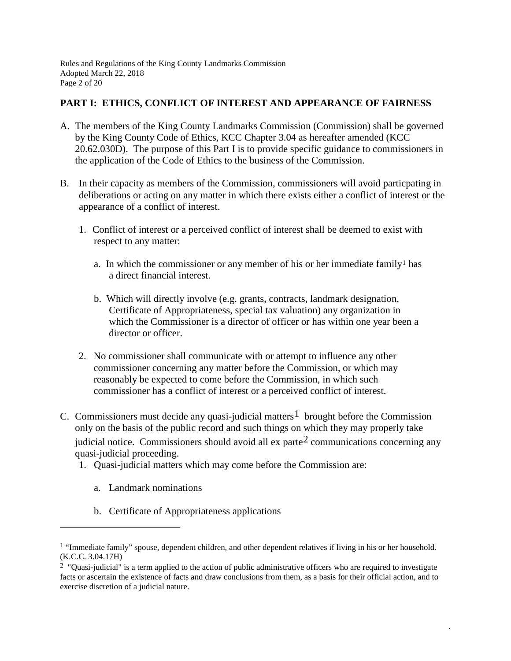Rules and Regulations of the King County Landmarks Commission Adopted March 22, 2018 Page 2 of 20

### **PART I: ETHICS, CONFLICT OF INTEREST AND APPEARANCE OF FAIRNESS**

- A. The members of the King County Landmarks Commission (Commission) shall be governed by the King County Code of Ethics, KCC Chapter 3.04 as hereafter amended (KCC 20.62.030D). The purpose of this Part I is to provide specific guidance to commissioners in the application of the Code of Ethics to the business of the Commission.
- B. In their capacity as members of the Commission, commissioners will avoid particpating in deliberations or acting on any matter in which there exists either a conflict of interest or the appearance of a conflict of interest.
	- 1. Conflict of interest or a perceived conflict of interest shall be deemed to exist with respect to any matter:
		- a. In which the commissioner or any member of his or her immediate family<sup>[1](#page-1-0)</sup> has a direct financial interest.
		- b. Which will directly involve (e.g. grants, contracts, landmark designation, Certificate of Appropriateness, special tax valuation) any organization in which the Commissioner is a director of officer or has within one year been a director or officer.
	- 2. No commissioner shall communicate with or attempt to influence any other commissioner concerning any matter before the Commission, or which may reasonably be expected to come before the Commission, in which such commissioner has a conflict of interest or a perceived conflict of interest.
- C. Commissioners must decide any quasi-judicial matters<sup>[1](#page-1-1)</sup> brought before the Commission only on the basis of the public record and such things on which they may properly take judicial notice. Commissioners should avoid all  $ex$  parte<sup>2</sup> communications concerning any quasi-judicial proceeding.
	- 1. Quasi-judicial matters which may come before the Commission are:
		- a. Landmark nominations

 $\overline{a}$ 

b. Certificate of Appropriateness applications

<span id="page-1-1"></span><span id="page-1-0"></span><sup>&</sup>lt;sup>1</sup> "Immediate family" spouse, dependent children, and other dependent relatives if living in his or her household. (K.C.C. 3.04.17H)

<span id="page-1-2"></span><sup>&</sup>lt;sup>2</sup> "Quasi-judicial" is a term applied to the action of public administrative officers who are required to investigate facts or ascertain the existence of facts and draw conclusions from them, as a basis for their official action, and to exercise discretion of a judicial nature.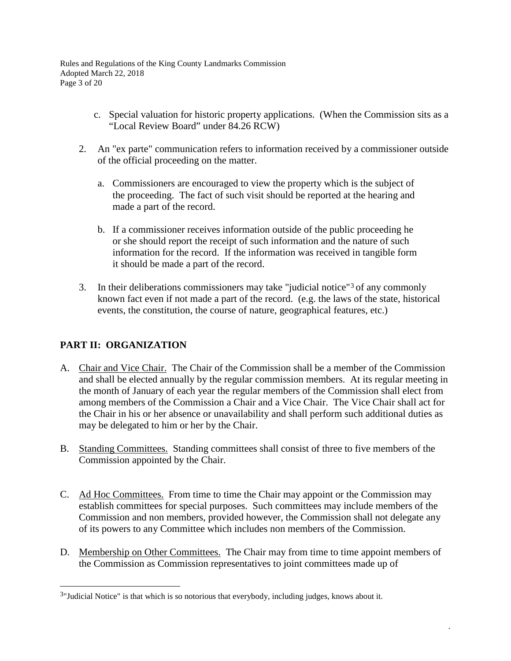Rules and Regulations of the King County Landmarks Commission Adopted March 22, 2018 Page 3 of 20

- c. Special valuation for historic property applications. (When the Commission sits as a "Local Review Board" under 84.26 RCW)
- 2. An "ex parte" communication refers to information received by a commissioner outside of the official proceeding on the matter.
	- a. Commissioners are encouraged to view the property which is the subject of the proceeding. The fact of such visit should be reported at the hearing and made a part of the record.
	- b. If a commissioner receives information outside of the public proceeding he or she should report the receipt of such information and the nature of such information for the record. If the information was received in tangible form it should be made a part of the record.
- 3. In their deliberations commissioners may take "judicial notice"[3](#page-2-0) of any commonly known fact even if not made a part of the record. (e.g. the laws of the state, historical events, the constitution, the course of nature, geographical features, etc.)

# **PART II: ORGANIZATION**

- A. Chair and Vice Chair. The Chair of the Commission shall be a member of the Commission and shall be elected annually by the regular commission members. At its regular meeting in the month of January of each year the regular members of the Commission shall elect from among members of the Commission a Chair and a Vice Chair. The Vice Chair shall act for the Chair in his or her absence or unavailability and shall perform such additional duties as may be delegated to him or her by the Chair.
- B. Standing Committees. Standing committees shall consist of three to five members of the Commission appointed by the Chair.
- C. Ad Hoc Committees. From time to time the Chair may appoint or the Commission may establish committees for special purposes. Such committees may include members of the Commission and non members, provided however, the Commission shall not delegate any of its powers to any Committee which includes non members of the Commission.
- D. Membership on Other Committees. The Chair may from time to time appoint members of the Commission as Commission representatives to joint committees made up of

<span id="page-2-0"></span> <sup>3&</sup>quot;Judicial Notice" is that which is so notorious that everybody, including judges, knows about it.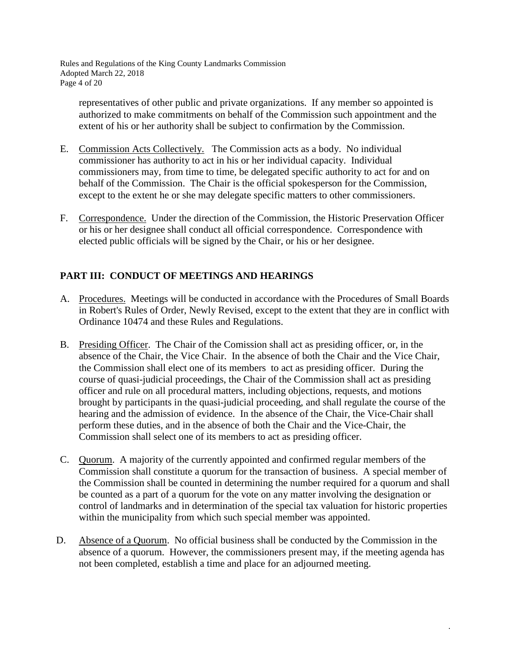Rules and Regulations of the King County Landmarks Commission Adopted March 22, 2018 Page 4 of 20

representatives of other public and private organizations. If any member so appointed is authorized to make commitments on behalf of the Commission such appointment and the extent of his or her authority shall be subject to confirmation by the Commission.

- E. Commission Acts Collectively. The Commission acts as a body. No individual commissioner has authority to act in his or her individual capacity. Individual commissioners may, from time to time, be delegated specific authority to act for and on behalf of the Commission. The Chair is the official spokesperson for the Commission, except to the extent he or she may delegate specific matters to other commissioners.
- F. Correspondence. Under the direction of the Commission, the Historic Preservation Officer or his or her designee shall conduct all official correspondence. Correspondence with elected public officials will be signed by the Chair, or his or her designee.

# **PART III: CONDUCT OF MEETINGS AND HEARINGS**

- A. Procedures. Meetings will be conducted in accordance with the Procedures of Small Boards in Robert's Rules of Order, Newly Revised, except to the extent that they are in conflict with Ordinance 10474 and these Rules and Regulations.
- B. Presiding Officer. The Chair of the Comission shall act as presiding officer, or, in the absence of the Chair, the Vice Chair. In the absence of both the Chair and the Vice Chair, the Commission shall elect one of its members to act as presiding officer. During the course of quasi-judicial proceedings, the Chair of the Commission shall act as presiding officer and rule on all procedural matters, including objections, requests, and motions brought by participants in the quasi-judicial proceeding, and shall regulate the course of the hearing and the admission of evidence. In the absence of the Chair, the Vice-Chair shall perform these duties, and in the absence of both the Chair and the Vice-Chair, the Commission shall select one of its members to act as presiding officer.
- C. Quorum. A majority of the currently appointed and confirmed regular members of the Commission shall constitute a quorum for the transaction of business. A special member of the Commission shall be counted in determining the number required for a quorum and shall be counted as a part of a quorum for the vote on any matter involving the designation or control of landmarks and in determination of the special tax valuation for historic properties within the municipality from which such special member was appointed.
- D. Absence of a Quorum. No official business shall be conducted by the Commission in the absence of a quorum. However, the commissioners present may, if the meeting agenda has not been completed, establish a time and place for an adjourned meeting.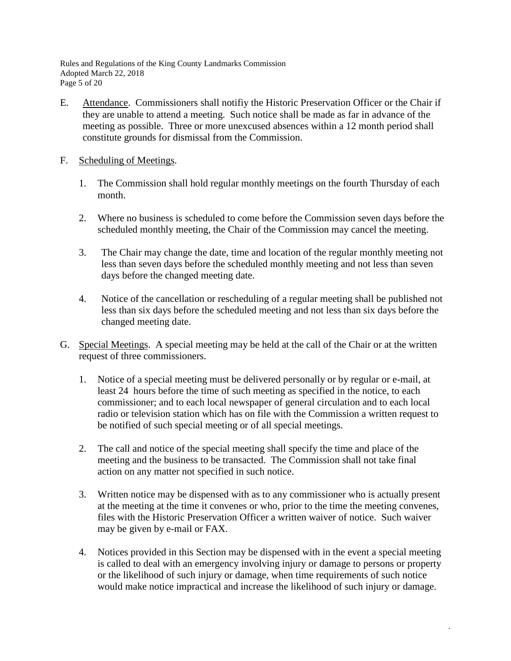Rules and Regulations of the King County Landmarks Commission Adopted March 22, 2018 Page 5 of 20

- E. Attendance. Commissioners shall notifiy the Historic Preservation Officer or the Chair if they are unable to attend a meeting. Such notice shall be made as far in advance of the meeting as possible. Three or more unexcused absences within a 12 month period shall constitute grounds for dismissal from the Commission.
- F. Scheduling of Meetings.
	- 1. The Commission shall hold regular monthly meetings on the fourth Thursday of each month.
	- 2. Where no business is scheduled to come before the Commission seven days before the scheduled monthly meeting, the Chair of the Commission may cancel the meeting.
	- 3. The Chair may change the date, time and location of the regular monthly meeting not less than seven days before the scheduled monthly meeting and not less than seven days before the changed meeting date.
	- 4. Notice of the cancellation or rescheduling of a regular meeting shall be published not less than six days before the scheduled meeting and not less than six days before the changed meeting date.
- G. Special Meetings. A special meeting may be held at the call of the Chair or at the written request of three commissioners.
	- 1. Notice of a special meeting must be delivered personally or by regular or e-mail, at least 24 hours before the time of such meeting as specified in the notice, to each commissioner; and to each local newspaper of general circulation and to each local radio or television station which has on file with the Commission a written request to be notified of such special meeting or of all special meetings.
	- 2. The call and notice of the special meeting shall specify the time and place of the meeting and the business to be transacted. The Commission shall not take final action on any matter not specified in such notice.
	- 3. Written notice may be dispensed with as to any commissioner who is actually present at the meeting at the time it convenes or who, prior to the time the meeting convenes, files with the Historic Preservation Officer a written waiver of notice. Such waiver may be given by e-mail or FAX.
	- 4. Notices provided in this Section may be dispensed with in the event a special meeting is called to deal with an emergency involving injury or damage to persons or property or the likelihood of such injury or damage, when time requirements of such notice would make notice impractical and increase the likelihood of such injury or damage.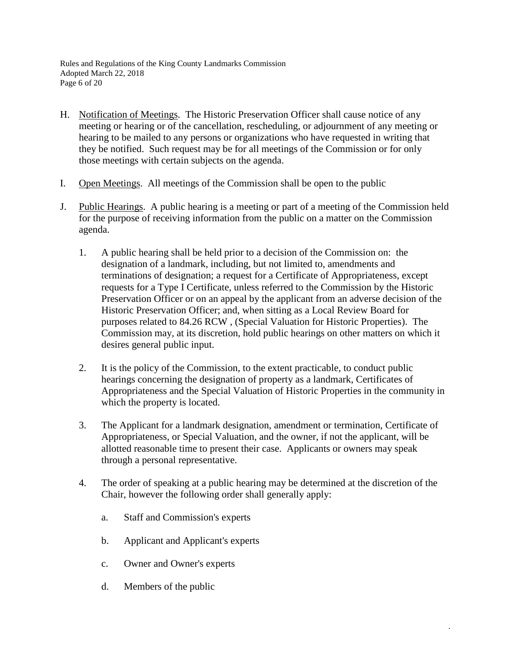Rules and Regulations of the King County Landmarks Commission Adopted March 22, 2018 Page 6 of 20

- H. Notification of Meetings. The Historic Preservation Officer shall cause notice of any meeting or hearing or of the cancellation, rescheduling, or adjournment of any meeting or hearing to be mailed to any persons or organizations who have requested in writing that they be notified. Such request may be for all meetings of the Commission or for only those meetings with certain subjects on the agenda.
- I. Open Meetings. All meetings of the Commission shall be open to the public
- J. Public Hearings. A public hearing is a meeting or part of a meeting of the Commission held for the purpose of receiving information from the public on a matter on the Commission agenda.
	- 1. A public hearing shall be held prior to a decision of the Commission on: the designation of a landmark, including, but not limited to, amendments and terminations of designation; a request for a Certificate of Appropriateness, except requests for a Type I Certificate, unless referred to the Commission by the Historic Preservation Officer or on an appeal by the applicant from an adverse decision of the Historic Preservation Officer; and, when sitting as a Local Review Board for purposes related to 84.26 RCW , (Special Valuation for Historic Properties). The Commission may, at its discretion, hold public hearings on other matters on which it desires general public input.
	- 2. It is the policy of the Commission, to the extent practicable, to conduct public hearings concerning the designation of property as a landmark, Certificates of Appropriateness and the Special Valuation of Historic Properties in the community in which the property is located.
	- 3. The Applicant for a landmark designation, amendment or termination, Certificate of Appropriateness, or Special Valuation, and the owner, if not the applicant, will be allotted reasonable time to present their case. Applicants or owners may speak through a personal representative.
	- 4. The order of speaking at a public hearing may be determined at the discretion of the Chair, however the following order shall generally apply:

- a. Staff and Commission's experts
- b. Applicant and Applicant's experts
- c. Owner and Owner's experts
- d. Members of the public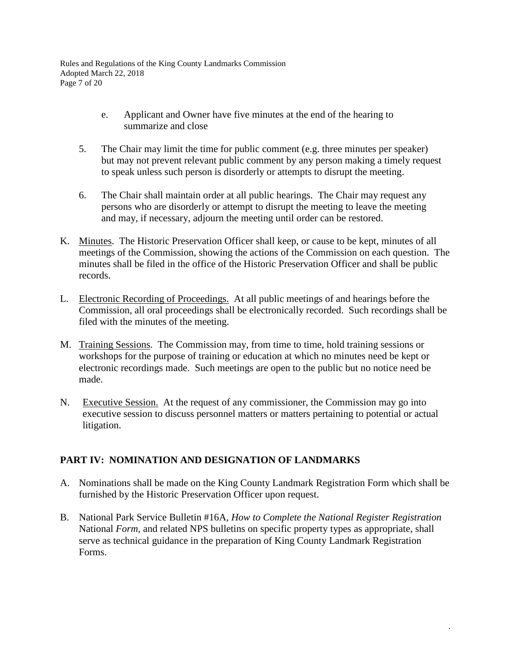Rules and Regulations of the King County Landmarks Commission Adopted March 22, 2018 Page 7 of 20

- e. Applicant and Owner have five minutes at the end of the hearing to summarize and close
- 5. The Chair may limit the time for public comment (e.g. three minutes per speaker) but may not prevent relevant public comment by any person making a timely request to speak unless such person is disorderly or attempts to disrupt the meeting.
- 6. The Chair shall maintain order at all public hearings. The Chair may request any persons who are disorderly or attempt to disrupt the meeting to leave the meeting and may, if necessary, adjourn the meeting until order can be restored.
- K. Minutes. The Historic Preservation Officer shall keep, or cause to be kept, minutes of all meetings of the Commission, showing the actions of the Commission on each question. The minutes shall be filed in the office of the Historic Preservation Officer and shall be public records.
- L. Electronic Recording of Proceedings. At all public meetings of and hearings before the Commission, all oral proceedings shall be electronically recorded. Such recordings shall be filed with the minutes of the meeting.
- M. Training Sessions. The Commission may, from time to time, hold training sessions or workshops for the purpose of training or education at which no minutes need be kept or electronic recordings made. Such meetings are open to the public but no notice need be made.
- N. Executive Session. At the request of any commissioner, the Commission may go into executive session to discuss personnel matters or matters pertaining to potential or actual litigation.

### **PART IV: NOMINATION AND DESIGNATION OF LANDMARKS**

- A. Nominations shall be made on the King County Landmark Registration Form which shall be furnished by the Historic Preservation Officer upon request.
- B. National Park Service Bulletin #16A, *How to Complete the National Register Registration*  National *Form*, and related NPS bulletins on specific property types as appropriate, shall serve as technical guidance in the preparation of King County Landmark Registration Forms.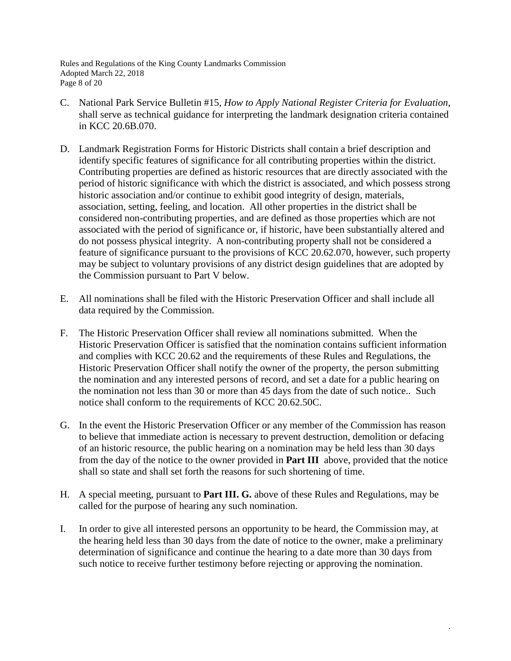Rules and Regulations of the King County Landmarks Commission Adopted March 22, 2018 Page 8 of 20

- C. National Park Service Bulletin #15, *How to Apply National Register Criteria for Evaluation*, shall serve as technical guidance for interpreting the landmark designation criteria contained in KCC 20.6B.070.
- D. Landmark Registration Forms for Historic Districts shall contain a brief description and identify specific features of significance for all contributing properties within the district. Contributing properties are defined as historic resources that are directly associated with the period of historic significance with which the district is associated, and which possess strong historic association and/or continue to exhibit good integrity of design, materials, association, setting, feeling, and location. All other properties in the district shall be considered non-contributing properties, and are defined as those properties which are not associated with the period of significance or, if historic, have been substantially altered and do not possess physical integrity. A non-contributing property shall not be considered a feature of significance pursuant to the provisions of KCC 20.62.070, however, such property may be subject to voluntary provisions of any district design guidelines that are adopted by the Commission pursuant to Part V below.
- E. All nominations shall be filed with the Historic Preservation Officer and shall include all data required by the Commission.
- F. The Historic Preservation Officer shall review all nominations submitted. When the Historic Preservation Officer is satisfied that the nomination contains sufficient information and complies with KCC 20.62 and the requirements of these Rules and Regulations, the Historic Preservation Officer shall notify the owner of the property, the person submitting the nomination and any interested persons of record, and set a date for a public hearing on the nomination not less than 30 or more than 45 days from the date of such notice.. Such notice shall conform to the requirements of KCC 20.62.50C.
- G. In the event the Historic Preservation Officer or any member of the Commission has reason to believe that immediate action is necessary to prevent destruction, demolition or defacing of an historic resource, the public hearing on a nomination may be held less than 30 days from the day of the notice to the owner provided in **Part III** above, provided that the notice shall so state and shall set forth the reasons for such shortening of time.
- H. A special meeting, pursuant to **Part III. G.** above of these Rules and Regulations, may be called for the purpose of hearing any such nomination.
- I. In order to give all interested persons an opportunity to be heard, the Commission may, at the hearing held less than 30 days from the date of notice to the owner, make a preliminary determination of significance and continue the hearing to a date more than 30 days from such notice to receive further testimony before rejecting or approving the nomination.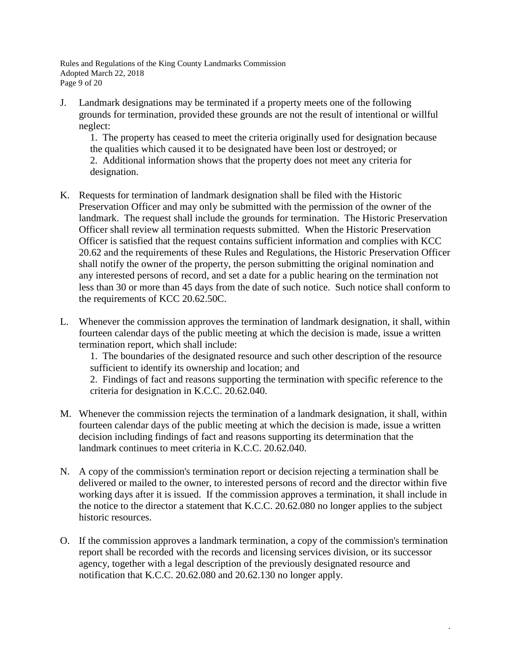Rules and Regulations of the King County Landmarks Commission Adopted March 22, 2018 Page 9 of 20

J. Landmark designations may be terminated if a property meets one of the following grounds for termination, provided these grounds are not the result of intentional or willful neglect:

1. The property has ceased to meet the criteria originally used for designation because the qualities which caused it to be designated have been lost or destroyed; or 2. Additional information shows that the property does not meet any criteria for designation.

- K. Requests for termination of landmark designation shall be filed with the Historic Preservation Officer and may only be submitted with the permission of the owner of the landmark. The request shall include the grounds for termination. The Historic Preservation Officer shall review all termination requests submitted. When the Historic Preservation Officer is satisfied that the request contains sufficient information and complies with KCC 20.62 and the requirements of these Rules and Regulations, the Historic Preservation Officer shall notify the owner of the property, the person submitting the original nomination and any interested persons of record, and set a date for a public hearing on the termination not less than 30 or more than 45 days from the date of such notice. Such notice shall conform to the requirements of KCC 20.62.50C.
- L. Whenever the commission approves the termination of landmark designation, it shall, within fourteen calendar days of the public meeting at which the decision is made, issue a written termination report, which shall include:

1. The boundaries of the designated resource and such other description of the resource sufficient to identify its ownership and location; and

2. Findings of fact and reasons supporting the termination with specific reference to the criteria for designation in K.C.C. 20.62.040.

- M. Whenever the commission rejects the termination of a landmark designation, it shall, within fourteen calendar days of the public meeting at which the decision is made, issue a written decision including findings of fact and reasons supporting its determination that the landmark continues to meet criteria in K.C.C. 20.62.040.
- N. A copy of the commission's termination report or decision rejecting a termination shall be delivered or mailed to the owner, to interested persons of record and the director within five working days after it is issued. If the commission approves a termination, it shall include in the notice to the director a statement that K.C.C. 20.62.080 no longer applies to the subject historic resources.
- O. If the commission approves a landmark termination, a copy of the commission's termination report shall be recorded with the records and licensing services division, or its successor agency, together with a legal description of the previously designated resource and notification that K.C.C. 20.62.080 and 20.62.130 no longer apply.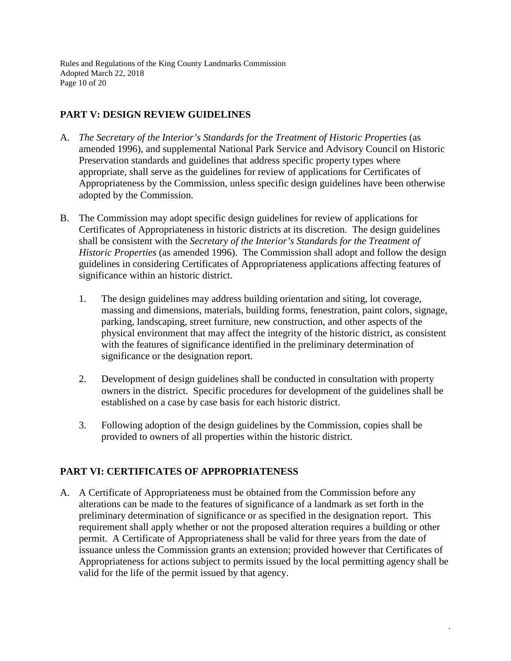Rules and Regulations of the King County Landmarks Commission Adopted March 22, 2018 Page 10 of 20

## **PART V: DESIGN REVIEW GUIDELINES**

- A. *The Secretary of the Interior's Standards for the Treatment of Historic Properties (as* amended 1996), and supplemental National Park Service and Advisory Council on Historic Preservation standards and guidelines that address specific property types where appropriate, shall serve as the guidelines for review of applications for Certificates of Appropriateness by the Commission, unless specific design guidelines have been otherwise adopted by the Commission.
- B. The Commission may adopt specific design guidelines for review of applications for Certificates of Appropriateness in historic districts at its discretion. The design guidelines shall be consistent with the *Secretary of the Interior's Standards for the Treatment of Historic Properties* (as amended 1996). The Commission shall adopt and follow the design guidelines in considering Certificates of Appropriateness applications affecting features of significance within an historic district.
	- 1. The design guidelines may address building orientation and siting, lot coverage, massing and dimensions, materials, building forms, fenestration, paint colors, signage, parking, landscaping, street furniture, new construction, and other aspects of the physical environment that may affect the integrity of the historic district, as consistent with the features of significance identified in the preliminary determination of significance or the designation report.
	- 2. Development of design guidelines shall be conducted in consultation with property owners in the district. Specific procedures for development of the guidelines shall be established on a case by case basis for each historic district.
	- 3. Following adoption of the design guidelines by the Commission, copies shall be provided to owners of all properties within the historic district.

### **PART VI: CERTIFICATES OF APPROPRIATENESS**

A. A Certificate of Appropriateness must be obtained from the Commission before any alterations can be made to the features of significance of a landmark as set forth in the preliminary determination of significance or as specified in the designation report. This requirement shall apply whether or not the proposed alteration requires a building or other permit. A Certificate of Appropriateness shall be valid for three years from the date of issuance unless the Commission grants an extension; provided however that Certificates of Appropriateness for actions subject to permits issued by the local permitting agency shall be valid for the life of the permit issued by that agency.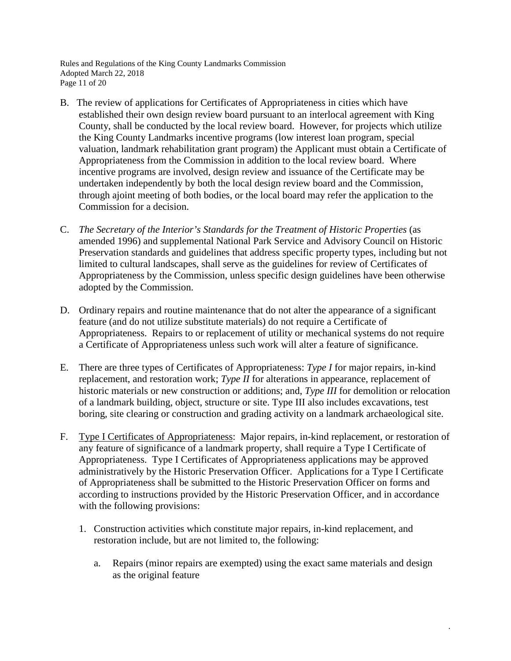Rules and Regulations of the King County Landmarks Commission Adopted March 22, 2018 Page 11 of 20

- B. The review of applications for Certificates of Appropriateness in cities which have established their own design review board pursuant to an interlocal agreement with King County, shall be conducted by the local review board. However, for projects which utilize the King County Landmarks incentive programs (low interest loan program, special valuation, landmark rehabilitation grant program) the Applicant must obtain a Certificate of Appropriateness from the Commission in addition to the local review board. Where incentive programs are involved, design review and issuance of the Certificate may be undertaken independently by both the local design review board and the Commission, through ajoint meeting of both bodies, or the local board may refer the application to the Commission for a decision.
- C. *The Secretary of the Interior's Standards for the Treatment of Historic Properties* (as amended 1996) and supplemental National Park Service and Advisory Council on Historic Preservation standards and guidelines that address specific property types, including but not limited to cultural landscapes, shall serve as the guidelines for review of Certificates of Appropriateness by the Commission, unless specific design guidelines have been otherwise adopted by the Commission.
- D. Ordinary repairs and routine maintenance that do not alter the appearance of a significant feature (and do not utilize substitute materials) do not require a Certificate of Appropriateness. Repairs to or replacement of utility or mechanical systems do not require a Certificate of Appropriateness unless such work will alter a feature of significance.
- E. There are three types of Certificates of Appropriateness: *Type I* for major repairs, in-kind replacement, and restoration work; *Type II* for alterations in appearance, replacement of historic materials or new construction or additions; and, *Type III* for demolition or relocation of a landmark building, object, structure or site. Type III also includes excavations, test boring, site clearing or construction and grading activity on a landmark archaeological site.
- F. Type I Certificates of Appropriateness: Major repairs, in-kind replacement, or restoration of any feature of significance of a landmark property, shall require a Type I Certificate of Appropriateness. Type I Certificates of Appropriateness applications may be approved administratively by the Historic Preservation Officer. Applications for a Type I Certificate of Appropriateness shall be submitted to the Historic Preservation Officer on forms and according to instructions provided by the Historic Preservation Officer, and in accordance with the following provisions:
	- 1. Construction activities which constitute major repairs, in-kind replacement, and restoration include, but are not limited to, the following:
		- a. Repairs (minor repairs are exempted) using the exact same materials and design as the original feature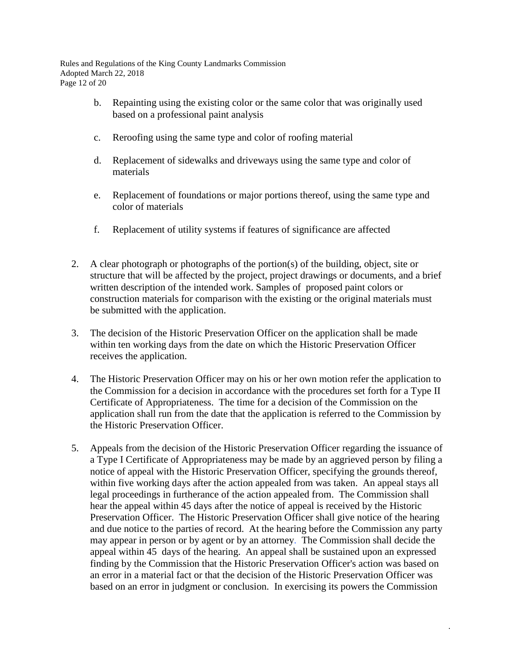Rules and Regulations of the King County Landmarks Commission Adopted March 22, 2018 Page 12 of 20

- b. Repainting using the existing color or the same color that was originally used based on a professional paint analysis
- c. Reroofing using the same type and color of roofing material
- d. Replacement of sidewalks and driveways using the same type and color of materials
- e. Replacement of foundations or major portions thereof, using the same type and color of materials
- f. Replacement of utility systems if features of significance are affected
- 2. A clear photograph or photographs of the portion(s) of the building, object, site or structure that will be affected by the project, project drawings or documents, and a brief written description of the intended work. Samples of proposed paint colors or construction materials for comparison with the existing or the original materials must be submitted with the application.
- 3. The decision of the Historic Preservation Officer on the application shall be made within ten working days from the date on which the Historic Preservation Officer receives the application.
- 4. The Historic Preservation Officer may on his or her own motion refer the application to the Commission for a decision in accordance with the procedures set forth for a Type II Certificate of Appropriateness. The time for a decision of the Commission on the application shall run from the date that the application is referred to the Commission by the Historic Preservation Officer.
- 5. Appeals from the decision of the Historic Preservation Officer regarding the issuance of a Type I Certificate of Appropriateness may be made by an aggrieved person by filing a notice of appeal with the Historic Preservation Officer, specifying the grounds thereof, within five working days after the action appealed from was taken. An appeal stays all legal proceedings in furtherance of the action appealed from. The Commission shall hear the appeal within 45 days after the notice of appeal is received by the Historic Preservation Officer. The Historic Preservation Officer shall give notice of the hearing and due notice to the parties of record. At the hearing before the Commission any party may appear in person or by agent or by an attorney. The Commission shall decide the appeal within 45 days of the hearing. An appeal shall be sustained upon an expressed finding by the Commission that the Historic Preservation Officer's action was based on an error in a material fact or that the decision of the Historic Preservation Officer was based on an error in judgment or conclusion. In exercising its powers the Commission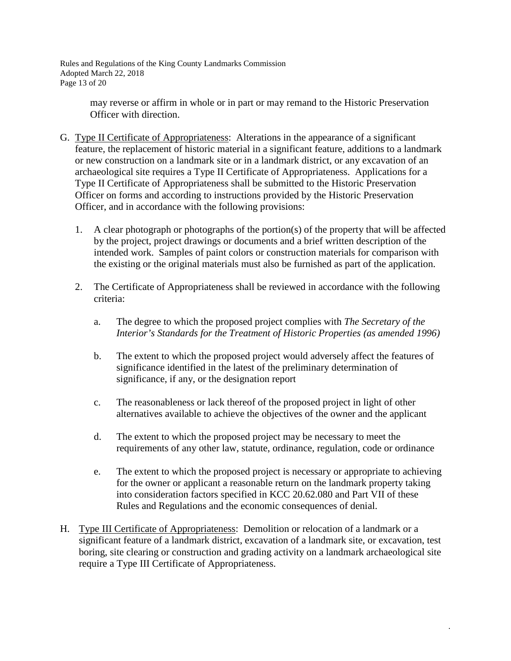Rules and Regulations of the King County Landmarks Commission Adopted March 22, 2018 Page 13 of 20

> may reverse or affirm in whole or in part or may remand to the Historic Preservation Officer with direction.

- G. Type II Certificate of Appropriateness: Alterations in the appearance of a significant feature, the replacement of historic material in a significant feature, additions to a landmark or new construction on a landmark site or in a landmark district, or any excavation of an archaeological site requires a Type II Certificate of Appropriateness. Applications for a Type II Certificate of Appropriateness shall be submitted to the Historic Preservation Officer on forms and according to instructions provided by the Historic Preservation Officer, and in accordance with the following provisions:
	- 1. A clear photograph or photographs of the portion(s) of the property that will be affected by the project, project drawings or documents and a brief written description of the intended work. Samples of paint colors or construction materials for comparison with the existing or the original materials must also be furnished as part of the application.
	- 2. The Certificate of Appropriateness shall be reviewed in accordance with the following criteria:
		- a. The degree to which the proposed project complies with *The Secretary of the Interior's Standards for the Treatment of Historic Properties (as amended 1996)*
		- b. The extent to which the proposed project would adversely affect the features of significance identified in the latest of the preliminary determination of significance, if any, or the designation report
		- c. The reasonableness or lack thereof of the proposed project in light of other alternatives available to achieve the objectives of the owner and the applicant
		- d. The extent to which the proposed project may be necessary to meet the requirements of any other law, statute, ordinance, regulation, code or ordinance
		- e. The extent to which the proposed project is necessary or appropriate to achieving for the owner or applicant a reasonable return on the landmark property taking into consideration factors specified in KCC 20.62.080 and Part VII of these Rules and Regulations and the economic consequences of denial.

.

H. Type III Certificate of Appropriateness: Demolition or relocation of a landmark or a significant feature of a landmark district, excavation of a landmark site, or excavation, test boring, site clearing or construction and grading activity on a landmark archaeological site require a Type III Certificate of Appropriateness.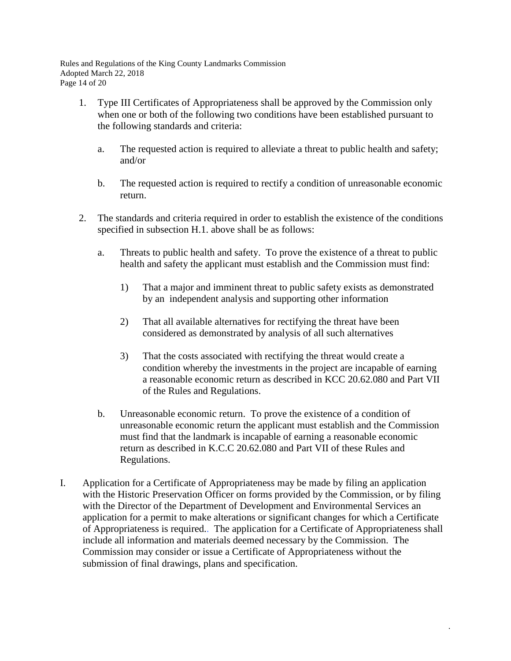Rules and Regulations of the King County Landmarks Commission Adopted March 22, 2018 Page 14 of 20

- 1. Type III Certificates of Appropriateness shall be approved by the Commission only when one or both of the following two conditions have been established pursuant to the following standards and criteria:
	- a. The requested action is required to alleviate a threat to public health and safety; and/or
	- b. The requested action is required to rectify a condition of unreasonable economic return.
- 2. The standards and criteria required in order to establish the existence of the conditions specified in subsection H.1. above shall be as follows:
	- a. Threats to public health and safety. To prove the existence of a threat to public health and safety the applicant must establish and the Commission must find:
		- 1) That a major and imminent threat to public safety exists as demonstrated by an independent analysis and supporting other information
		- 2) That all available alternatives for rectifying the threat have been considered as demonstrated by analysis of all such alternatives
		- 3) That the costs associated with rectifying the threat would create a condition whereby the investments in the project are incapable of earning a reasonable economic return as described in KCC 20.62.080 and Part VII of the Rules and Regulations.
	- b. Unreasonable economic return. To prove the existence of a condition of unreasonable economic return the applicant must establish and the Commission must find that the landmark is incapable of earning a reasonable economic return as described in K.C.C 20.62.080 and Part VII of these Rules and Regulations.
- I. Application for a Certificate of Appropriateness may be made by filing an application with the Historic Preservation Officer on forms provided by the Commission, or by filing with the Director of the Department of Development and Environmental Services an application for a permit to make alterations or significant changes for which a Certificate of Appropriateness is required.. The application for a Certificate of Appropriateness shall include all information and materials deemed necessary by the Commission. The Commission may consider or issue a Certificate of Appropriateness without the submission of final drawings, plans and specification.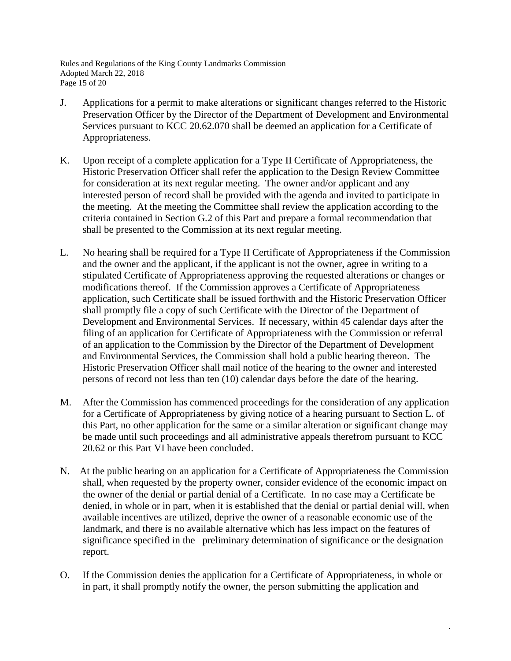Rules and Regulations of the King County Landmarks Commission Adopted March 22, 2018 Page 15 of 20

- J. Applications for a permit to make alterations or significant changes referred to the Historic Preservation Officer by the Director of the Department of Development and Environmental Services pursuant to KCC 20.62.070 shall be deemed an application for a Certificate of Appropriateness.
- K. Upon receipt of a complete application for a Type II Certificate of Appropriateness, the Historic Preservation Officer shall refer the application to the Design Review Committee for consideration at its next regular meeting. The owner and/or applicant and any interested person of record shall be provided with the agenda and invited to participate in the meeting. At the meeting the Committee shall review the application according to the criteria contained in Section G.2 of this Part and prepare a formal recommendation that shall be presented to the Commission at its next regular meeting.
- L. No hearing shall be required for a Type II Certificate of Appropriateness if the Commission and the owner and the applicant, if the applicant is not the owner, agree in writing to a stipulated Certificate of Appropriateness approving the requested alterations or changes or modifications thereof. If the Commission approves a Certificate of Appropriateness application, such Certificate shall be issued forthwith and the Historic Preservation Officer shall promptly file a copy of such Certificate with the Director of the Department of Development and Environmental Services. If necessary, within 45 calendar days after the filing of an application for Certificate of Appropriateness with the Commission or referral of an application to the Commission by the Director of the Department of Development and Environmental Services, the Commission shall hold a public hearing thereon. The Historic Preservation Officer shall mail notice of the hearing to the owner and interested persons of record not less than ten (10) calendar days before the date of the hearing.
- M. After the Commission has commenced proceedings for the consideration of any application for a Certificate of Appropriateness by giving notice of a hearing pursuant to Section L. of this Part, no other application for the same or a similar alteration or significant change may be made until such proceedings and all administrative appeals therefrom pursuant to KCC 20.62 or this Part VI have been concluded.
- N. At the public hearing on an application for a Certificate of Appropriateness the Commission shall, when requested by the property owner, consider evidence of the economic impact on the owner of the denial or partial denial of a Certificate. In no case may a Certificate be denied, in whole or in part, when it is established that the denial or partial denial will, when available incentives are utilized, deprive the owner of a reasonable economic use of the landmark, and there is no available alternative which has less impact on the features of significance specified in the preliminary determination of significance or the designation report.
- O. If the Commission denies the application for a Certificate of Appropriateness, in whole or in part, it shall promptly notify the owner, the person submitting the application and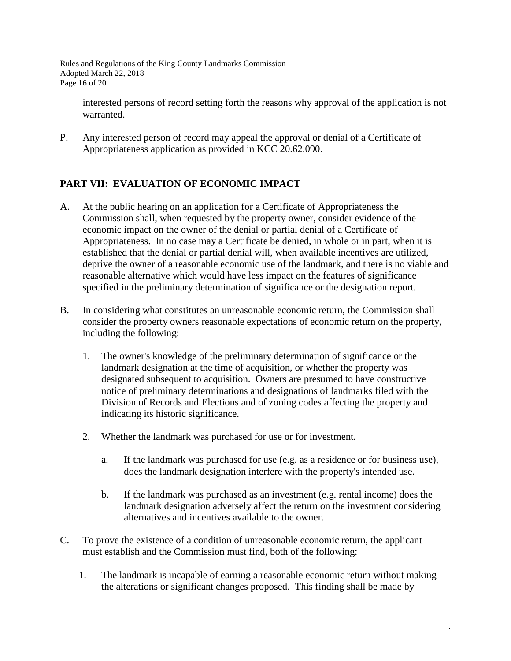Rules and Regulations of the King County Landmarks Commission Adopted March 22, 2018 Page 16 of 20

interested persons of record setting forth the reasons why approval of the application is not warranted.

P. Any interested person of record may appeal the approval or denial of a Certificate of Appropriateness application as provided in KCC 20.62.090.

## **PART VII: EVALUATION OF ECONOMIC IMPACT**

- A. At the public hearing on an application for a Certificate of Appropriateness the Commission shall, when requested by the property owner, consider evidence of the economic impact on the owner of the denial or partial denial of a Certificate of Appropriateness. In no case may a Certificate be denied, in whole or in part, when it is established that the denial or partial denial will, when available incentives are utilized, deprive the owner of a reasonable economic use of the landmark, and there is no viable and reasonable alternative which would have less impact on the features of significance specified in the preliminary determination of significance or the designation report.
- B. In considering what constitutes an unreasonable economic return, the Commission shall consider the property owners reasonable expectations of economic return on the property, including the following:
	- 1. The owner's knowledge of the preliminary determination of significance or the landmark designation at the time of acquisition, or whether the property was designated subsequent to acquisition. Owners are presumed to have constructive notice of preliminary determinations and designations of landmarks filed with the Division of Records and Elections and of zoning codes affecting the property and indicating its historic significance.
	- 2. Whether the landmark was purchased for use or for investment.
		- a. If the landmark was purchased for use (e.g. as a residence or for business use), does the landmark designation interfere with the property's intended use.
		- b. If the landmark was purchased as an investment (e.g. rental income) does the landmark designation adversely affect the return on the investment considering alternatives and incentives available to the owner.
- C. To prove the existence of a condition of unreasonable economic return, the applicant must establish and the Commission must find, both of the following:
	- 1. The landmark is incapable of earning a reasonable economic return without making the alterations or significant changes proposed. This finding shall be made by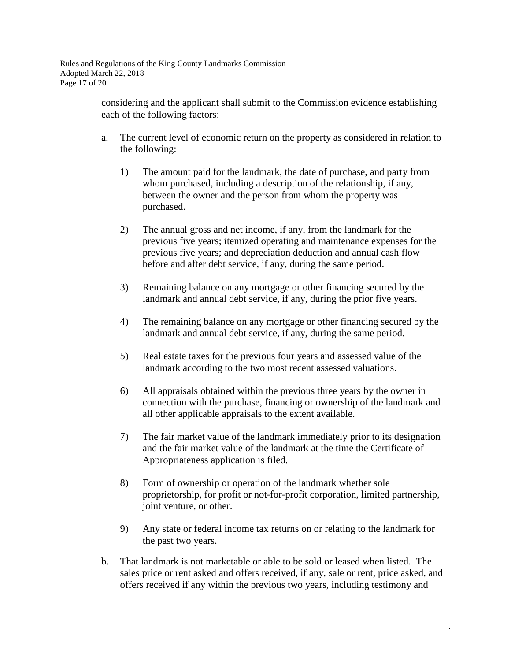Rules and Regulations of the King County Landmarks Commission Adopted March 22, 2018 Page 17 of 20

> considering and the applicant shall submit to the Commission evidence establishing each of the following factors:

- a. The current level of economic return on the property as considered in relation to the following:
	- 1) The amount paid for the landmark, the date of purchase, and party from whom purchased, including a description of the relationship, if any, between the owner and the person from whom the property was purchased.
	- 2) The annual gross and net income, if any, from the landmark for the previous five years; itemized operating and maintenance expenses for the previous five years; and depreciation deduction and annual cash flow before and after debt service, if any, during the same period.
	- 3) Remaining balance on any mortgage or other financing secured by the landmark and annual debt service, if any, during the prior five years.
	- 4) The remaining balance on any mortgage or other financing secured by the landmark and annual debt service, if any, during the same period.
	- 5) Real estate taxes for the previous four years and assessed value of the landmark according to the two most recent assessed valuations.
	- 6) All appraisals obtained within the previous three years by the owner in connection with the purchase, financing or ownership of the landmark and all other applicable appraisals to the extent available.
	- 7) The fair market value of the landmark immediately prior to its designation and the fair market value of the landmark at the time the Certificate of Appropriateness application is filed.
	- 8) Form of ownership or operation of the landmark whether sole proprietorship, for profit or not-for-profit corporation, limited partnership, joint venture, or other.
	- 9) Any state or federal income tax returns on or relating to the landmark for the past two years.
- b. That landmark is not marketable or able to be sold or leased when listed. The sales price or rent asked and offers received, if any, sale or rent, price asked, and offers received if any within the previous two years, including testimony and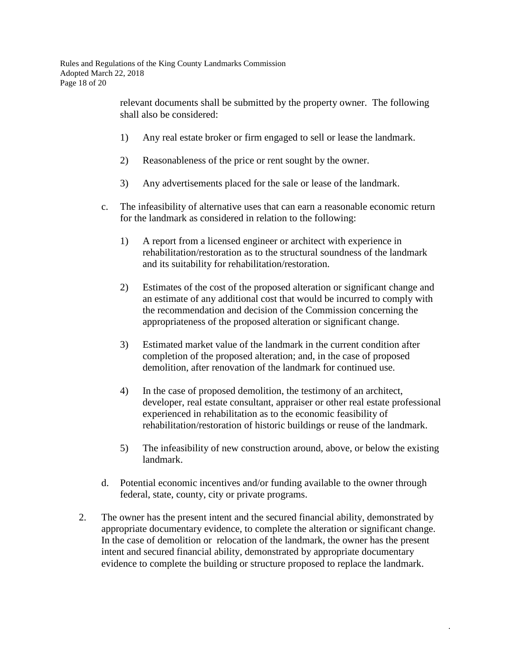relevant documents shall be submitted by the property owner. The following shall also be considered:

- 1) Any real estate broker or firm engaged to sell or lease the landmark.
- 2) Reasonableness of the price or rent sought by the owner.
- 3) Any advertisements placed for the sale or lease of the landmark.
- c. The infeasibility of alternative uses that can earn a reasonable economic return for the landmark as considered in relation to the following:
	- 1) A report from a licensed engineer or architect with experience in rehabilitation/restoration as to the structural soundness of the landmark and its suitability for rehabilitation/restoration.
	- 2) Estimates of the cost of the proposed alteration or significant change and an estimate of any additional cost that would be incurred to comply with the recommendation and decision of the Commission concerning the appropriateness of the proposed alteration or significant change.
	- 3) Estimated market value of the landmark in the current condition after completion of the proposed alteration; and, in the case of proposed demolition, after renovation of the landmark for continued use.
	- 4) In the case of proposed demolition, the testimony of an architect, developer, real estate consultant, appraiser or other real estate professional experienced in rehabilitation as to the economic feasibility of rehabilitation/restoration of historic buildings or reuse of the landmark.
	- 5) The infeasibility of new construction around, above, or below the existing landmark.

- d. Potential economic incentives and/or funding available to the owner through federal, state, county, city or private programs.
- 2. The owner has the present intent and the secured financial ability, demonstrated by appropriate documentary evidence, to complete the alteration or significant change. In the case of demolition or relocation of the landmark, the owner has the present intent and secured financial ability, demonstrated by appropriate documentary evidence to complete the building or structure proposed to replace the landmark.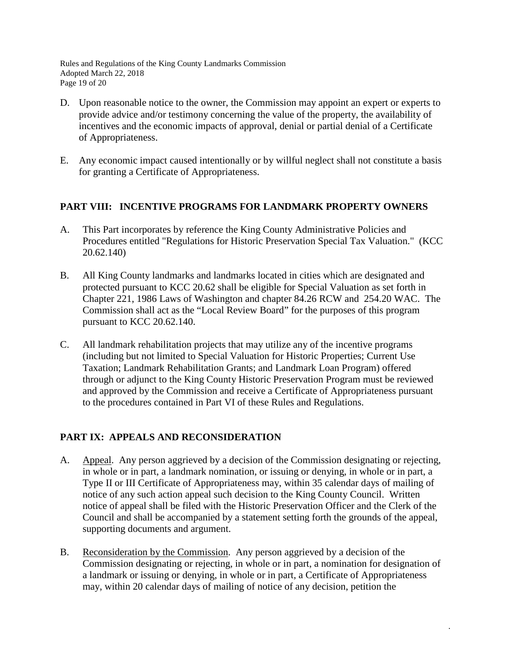Rules and Regulations of the King County Landmarks Commission Adopted March 22, 2018 Page 19 of 20

- D. Upon reasonable notice to the owner, the Commission may appoint an expert or experts to provide advice and/or testimony concerning the value of the property, the availability of incentives and the economic impacts of approval, denial or partial denial of a Certificate of Appropriateness.
- E. Any economic impact caused intentionally or by willful neglect shall not constitute a basis for granting a Certificate of Appropriateness.

## **PART VIII: INCENTIVE PROGRAMS FOR LANDMARK PROPERTY OWNERS**

- A. This Part incorporates by reference the King County Administrative Policies and Procedures entitled "Regulations for Historic Preservation Special Tax Valuation." (KCC 20.62.140)
- B. All King County landmarks and landmarks located in cities which are designated and protected pursuant to KCC 20.62 shall be eligible for Special Valuation as set forth in Chapter 221, 1986 Laws of Washington and chapter 84.26 RCW and 254.20 WAC. The Commission shall act as the "Local Review Board" for the purposes of this program pursuant to KCC 20.62.140.
- C. All landmark rehabilitation projects that may utilize any of the incentive programs (including but not limited to Special Valuation for Historic Properties; Current Use Taxation; Landmark Rehabilitation Grants; and Landmark Loan Program) offered through or adjunct to the King County Historic Preservation Program must be reviewed and approved by the Commission and receive a Certificate of Appropriateness pursuant to the procedures contained in Part VI of these Rules and Regulations.

### **PART IX: APPEALS AND RECONSIDERATION**

- A. Appeal. Any person aggrieved by a decision of the Commission designating or rejecting, in whole or in part, a landmark nomination, or issuing or denying, in whole or in part, a Type II or III Certificate of Appropriateness may, within 35 calendar days of mailing of notice of any such action appeal such decision to the King County Council. Written notice of appeal shall be filed with the Historic Preservation Officer and the Clerk of the Council and shall be accompanied by a statement setting forth the grounds of the appeal, supporting documents and argument.
- B. Reconsideration by the Commission. Any person aggrieved by a decision of the Commission designating or rejecting, in whole or in part, a nomination for designation of a landmark or issuing or denying, in whole or in part, a Certificate of Appropriateness may, within 20 calendar days of mailing of notice of any decision, petition the